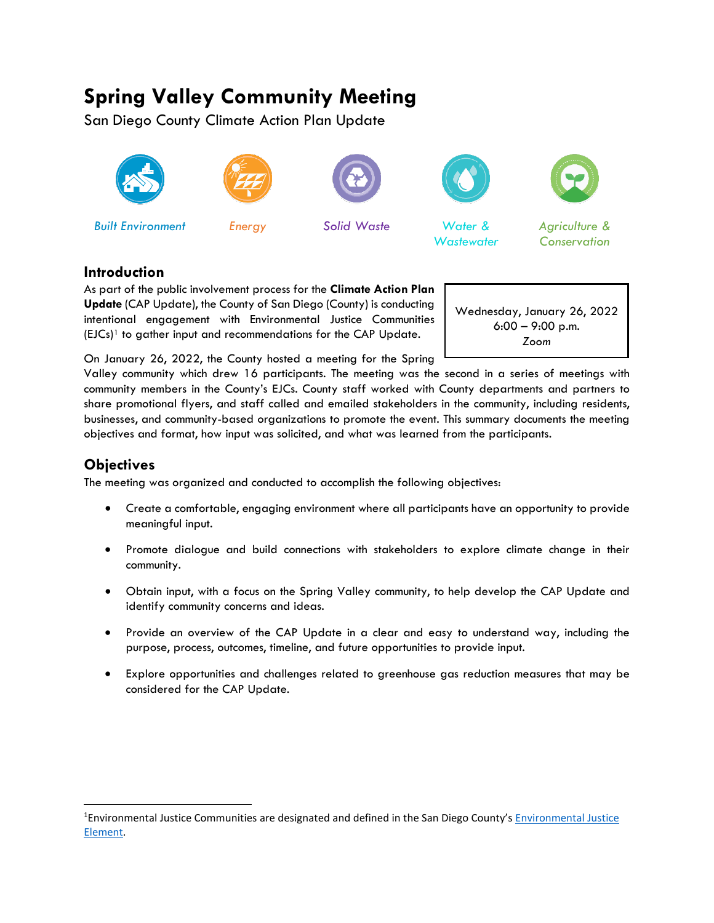# **Spring Valley Community Meeting**

San Diego County Climate Action Plan Update





*Built Environment Energy Solid Waste Water &*





*Wastewater*



*Agriculture & Conservation*

## **Introduction**

As part of the public involvement process for the **Climate Action Plan Update** (CAP Update), the County of San Diego (County) is conducting intentional engagement with Environmental Justice Communities  $(ELCs)^1$  $(ELCs)^1$  to gather input and recommendations for the CAP Update.

Wednesday, January 26, 2022 6:00 – 9:00 p.m. *Zoom*

On January 26, 2022, the County hosted a meeting for the Spring Valley community which drew 16 participants. The meeting was the second in a series of meetings with community members in the County's EJCs. County staff worked with County departments and partners to share promotional flyers, and staff called and emailed stakeholders in the community, including residents, businesses, and community-based organizations to promote the event. This summary documents the meeting

objectives and format, how input was solicited, and what was learned from the participants.

## **Objectives**

The meeting was organized and conducted to accomplish the following objectives:

- Create a comfortable, engaging environment where all participants have an opportunity to provide meaningful input.
- Promote dialogue and build connections with stakeholders to explore climate change in their community.
- Obtain input, with a focus on the Spring Valley community, to help develop the CAP Update and identify community concerns and ideas.
- Provide an overview of the CAP Update in a clear and easy to understand way, including the purpose, process, outcomes, timeline, and future opportunities to provide input.
- Explore opportunities and challenges related to greenhouse gas reduction measures that may be considered for the CAP Update.

<span id="page-0-0"></span><sup>&</sup>lt;sup>1</sup>Environmental Justice Communities are designated and defined in the San Diego County's *Environmental Justice* [Element.](https://www.sandiegocounty.gov/content/dam/sdc/pds/gpupdate/09-Environmental-Justice-Aug2021.pdf)